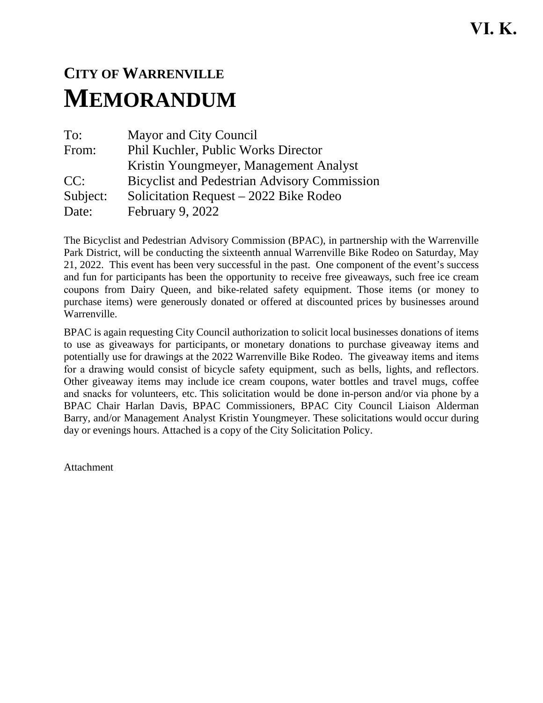## **CITY OF WARRENVILLE MEMORANDUM**

To: Mayor and City Council From: Phil Kuchler, Public Works Director Kristin Youngmeyer, Management Analyst CC: Bicyclist and Pedestrian Advisory Commission Subject: Solicitation Request – 2022 Bike Rodeo Date: February 9, 2022

The Bicyclist and Pedestrian Advisory Commission (BPAC), in partnership with the Warrenville Park District, will be conducting the sixteenth annual Warrenville Bike Rodeo on Saturday, May 21, 2022. This event has been very successful in the past. One component of the event's success and fun for participants has been the opportunity to receive free giveaways, such free ice cream coupons from Dairy Queen, and bike-related safety equipment. Those items (or money to purchase items) were generously donated or offered at discounted prices by businesses around Warrenville.

BPAC is again requesting City Council authorization to solicit local businesses donations of items to use as giveaways for participants, or monetary donations to purchase giveaway items and potentially use for drawings at the 2022 Warrenville Bike Rodeo. The giveaway items and items for a drawing would consist of bicycle safety equipment, such as bells, lights, and reflectors. Other giveaway items may include ice cream coupons, water bottles and travel mugs, coffee and snacks for volunteers, etc. This solicitation would be done in-person and/or via phone by a BPAC Chair Harlan Davis, BPAC Commissioners, BPAC City Council Liaison Alderman Barry, and/or Management Analyst Kristin Youngmeyer. These solicitations would occur during day or evenings hours. Attached is a copy of the City Solicitation Policy.

Attachment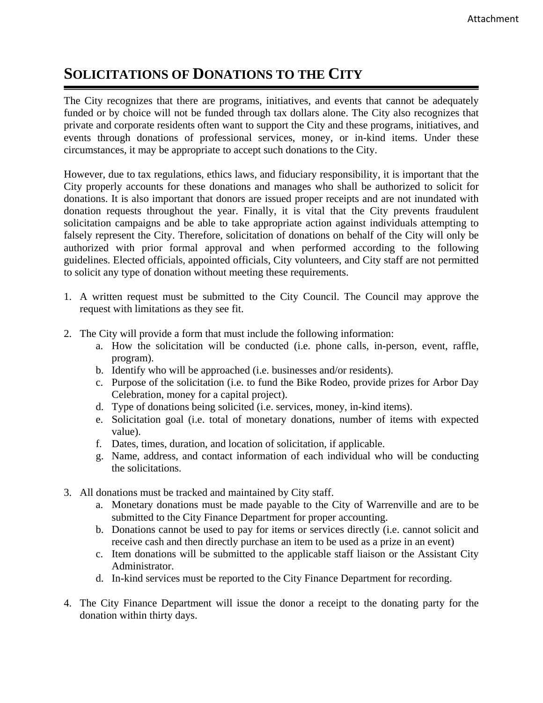## **SOLICITATIONS OF DONATIONS TO THE CITY**

The City recognizes that there are programs, initiatives, and events that cannot be adequately funded or by choice will not be funded through tax dollars alone. The City also recognizes that private and corporate residents often want to support the City and these programs, initiatives, and events through donations of professional services, money, or in-kind items. Under these circumstances, it may be appropriate to accept such donations to the City.

However, due to tax regulations, ethics laws, and fiduciary responsibility, it is important that the City properly accounts for these donations and manages who shall be authorized to solicit for donations. It is also important that donors are issued proper receipts and are not inundated with donation requests throughout the year. Finally, it is vital that the City prevents fraudulent solicitation campaigns and be able to take appropriate action against individuals attempting to falsely represent the City. Therefore, solicitation of donations on behalf of the City will only be authorized with prior formal approval and when performed according to the following guidelines. Elected officials, appointed officials, City volunteers, and City staff are not permitted to solicit any type of donation without meeting these requirements.

- 1. A written request must be submitted to the City Council. The Council may approve the request with limitations as they see fit.
- 2. The City will provide a form that must include the following information:
	- a. How the solicitation will be conducted (i.e. phone calls, in-person, event, raffle, program).
	- b. Identify who will be approached (i.e. businesses and/or residents).
	- c. Purpose of the solicitation (i.e. to fund the Bike Rodeo, provide prizes for Arbor Day Celebration, money for a capital project).
	- d. Type of donations being solicited (i.e. services, money, in-kind items).
	- e. Solicitation goal (i.e. total of monetary donations, number of items with expected value).
	- f. Dates, times, duration, and location of solicitation, if applicable.
	- g. Name, address, and contact information of each individual who will be conducting the solicitations.
- 3. All donations must be tracked and maintained by City staff.
	- a. Monetary donations must be made payable to the City of Warrenville and are to be submitted to the City Finance Department for proper accounting.
	- b. Donations cannot be used to pay for items or services directly (i.e. cannot solicit and receive cash and then directly purchase an item to be used as a prize in an event)
	- c. Item donations will be submitted to the applicable staff liaison or the Assistant City Administrator.
	- d. In-kind services must be reported to the City Finance Department for recording.
- 4. The City Finance Department will issue the donor a receipt to the donating party for the donation within thirty days.